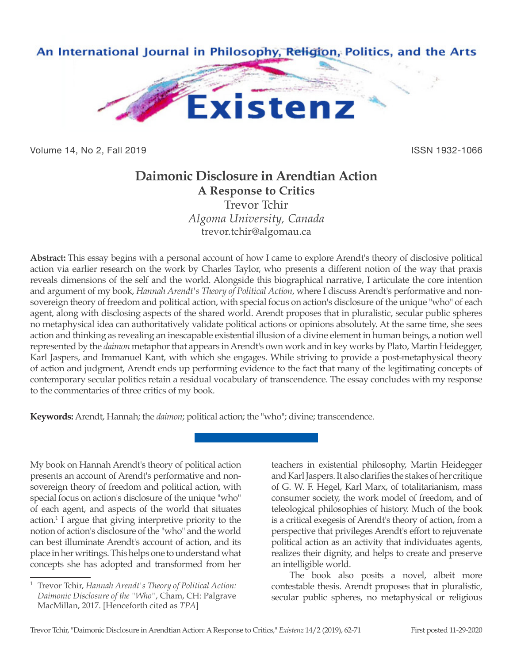

Volume 14, No 2, Fall 2019 ISSN 1932-1066

## **Daimonic Disclosure in Arendtian Action**

**A Response to Critics** Trevor Tchir *Algoma University, Canada* trevor.tchir@algomau.ca

**Abstract:** This essay begins with a personal account of how I came to explore Arendt's theory of disclosive political action via earlier research on the work by Charles Taylor, who presents a different notion of the way that praxis reveals dimensions of the self and the world. Alongside this biographical narrative, I articulate the core intention and argument of my book, *Hannah Arendt's Theory of Political Action*, where I discuss Arendt's performative and nonsovereign theory of freedom and political action, with special focus on action's disclosure of the unique "who" of each agent, along with disclosing aspects of the shared world. Arendt proposes that in pluralistic, secular public spheres no metaphysical idea can authoritatively validate political actions or opinions absolutely. At the same time, she sees action and thinking as revealing an inescapable existential illusion of a divine element in human beings, a notion well represented by the *daimon* metaphor that appears in Arendt's own work and in key works by Plato, Martin Heidegger, Karl Jaspers, and Immanuel Kant, with which she engages. While striving to provide a post-metaphysical theory of action and judgment, Arendt ends up performing evidence to the fact that many of the legitimating concepts of contemporary secular politics retain a residual vocabulary of transcendence. The essay concludes with my response to the commentaries of three critics of my book.

**Keywords:** Arendt, Hannah; the *daimon*; political action; the "who"; divine; transcendence.

My book on Hannah Arendt's theory of political action presents an account of Arendt's performative and nonsovereign theory of freedom and political action, with special focus on action's disclosure of the unique "who" of each agent, and aspects of the world that situates action.1 I argue that giving interpretive priority to the notion of action's disclosure of the "who" and the world can best illuminate Arendt's account of action, and its place in her writings. This helps one to understand what concepts she has adopted and transformed from her

teachers in existential philosophy, Martin Heidegger and Karl Jaspers. It also clarifies the stakes of her critique of G. W. F. Hegel, Karl Marx, of totalitarianism, mass consumer society, the work model of freedom, and of teleological philosophies of history. Much of the book is a critical exegesis of Arendt's theory of action, from a perspective that privileges Arendt's effort to rejuvenate political action as an activity that individuates agents, realizes their dignity, and helps to create and preserve an intelligible world.

The book also posits a novel, albeit more contestable thesis. Arendt proposes that in pluralistic, secular public spheres, no metaphysical or religious

<sup>1</sup> Trevor Tchir, *Hannah Arendt's Theory of Political Action: Daimonic Disclosure of the "Who"*, Cham, CH: Palgrave MacMillan, 2017. [Henceforth cited as *TPA*]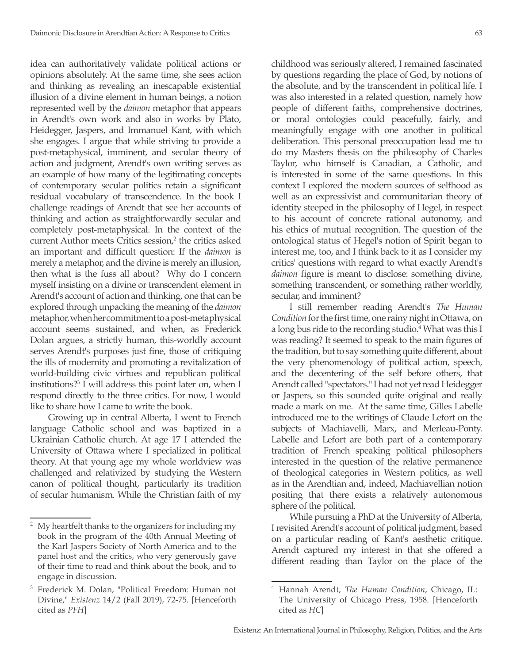idea can authoritatively validate political actions or opinions absolutely. At the same time, she sees action and thinking as revealing an inescapable existential illusion of a divine element in human beings, a notion represented well by the *daimon* metaphor that appears in Arendt's own work and also in works by Plato, Heidegger, Jaspers, and Immanuel Kant, with which she engages. I argue that while striving to provide a post-metaphysical, imminent, and secular theory of action and judgment, Arendt's own writing serves as an example of how many of the legitimating concepts of contemporary secular politics retain a significant residual vocabulary of transcendence. In the book I challenge readings of Arendt that see her accounts of thinking and action as straightforwardly secular and completely post-metaphysical. In the context of the current Author meets Critics session,<sup>2</sup> the critics asked an important and difficult question: If the *daimon* is merely a metaphor, and the divine is merely an illusion, then what is the fuss all about? Why do I concern myself insisting on a divine or transcendent element in Arendt's account of action and thinking, one that can be explored through unpacking the meaning of the *daimon* metaphor, when her commitment to a post-metaphysical account seems sustained, and when, as Frederick Dolan argues, a strictly human, this-worldly account serves Arendt's purposes just fine, those of critiquing the ills of modernity and promoting a revitalization of world-building civic virtues and republican political institutions?3 I will address this point later on, when I respond directly to the three critics. For now, I would like to share how I came to write the book.

Growing up in central Alberta, I went to French language Catholic school and was baptized in a Ukrainian Catholic church. At age 17 I attended the University of Ottawa where I specialized in political theory. At that young age my whole worldview was challenged and relativized by studying the Western canon of political thought, particularly its tradition of secular humanism. While the Christian faith of my

childhood was seriously altered, I remained fascinated by questions regarding the place of God, by notions of the absolute, and by the transcendent in political life. I was also interested in a related question, namely how people of different faiths, comprehensive doctrines, or moral ontologies could peacefully, fairly, and meaningfully engage with one another in political deliberation. This personal preoccupation lead me to do my Masters thesis on the philosophy of Charles Taylor, who himself is Canadian, a Catholic, and is interested in some of the same questions. In this context I explored the modern sources of selfhood as well as an expressivist and communitarian theory of identity steeped in the philosophy of Hegel, in respect to his account of concrete rational autonomy, and his ethics of mutual recognition. The question of the ontological status of Hegel's notion of Spirit began to interest me, too, and I think back to it as I consider my critics' questions with regard to what exactly Arendt's *daimon* figure is meant to disclose: something divine, something transcendent, or something rather worldly, secular, and imminent?

I still remember reading Arendt's *The Human Condition* for the first time, one rainy night in Ottawa, on a long bus ride to the recording studio.<sup>4</sup> What was this I was reading? It seemed to speak to the main figures of the tradition, but to say something quite different, about the very phenomenology of political action, speech, and the decentering of the self before others, that Arendt called "spectators." I had not yet read Heidegger or Jaspers, so this sounded quite original and really made a mark on me. At the same time, Gilles Labelle introduced me to the writings of Claude Lefort on the subjects of Machiavelli, Marx, and Merleau-Ponty. Labelle and Lefort are both part of a contemporary tradition of French speaking political philosophers interested in the question of the relative permanence of theological categories in Western politics, as well as in the Arendtian and, indeed, Machiavellian notion positing that there exists a relatively autonomous sphere of the political.

While pursuing a PhD at the University of Alberta, I revisited Arendt's account of political judgment, based on a particular reading of Kant's aesthetic critique. Arendt captured my interest in that she offered a different reading than Taylor on the place of the

<sup>&</sup>lt;sup>2</sup> My heartfelt thanks to the organizers for including my book in the program of the 40th Annual Meeting of the Karl Jaspers Society of North America and to the panel host and the critics, who very generously gave of their time to read and think about the book, and to engage in discussion.

<sup>3</sup> Frederick M. Dolan, "Political Freedom: Human not Divine," *Existenz* 14/2 (Fall 2019), 72-75. [Henceforth cited as *PFH*]

<sup>4</sup> Hannah Arendt, *The Human Condition*, Chicago, IL: The University of Chicago Press, 1958. [Henceforth cited as *HC*]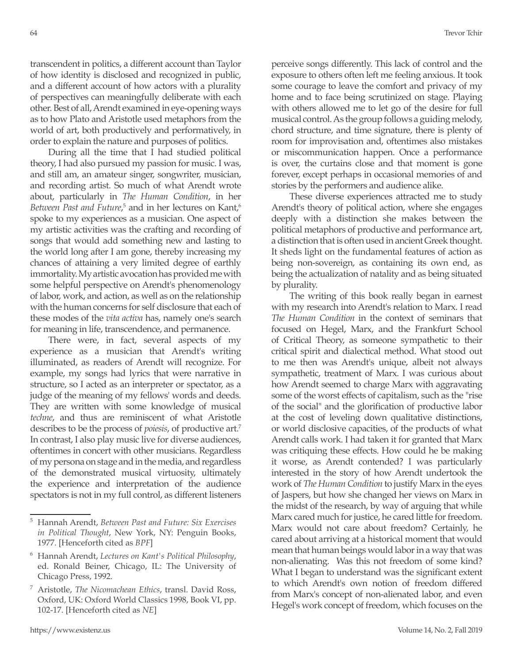transcendent in politics, a different account than Taylor of how identity is disclosed and recognized in public, and a different account of how actors with a plurality of perspectives can meaningfully deliberate with each other. Best of all, Arendt examined in eye-opening ways as to how Plato and Aristotle used metaphors from the world of art, both productively and performatively, in order to explain the nature and purposes of politics.

During all the time that I had studied political theory, I had also pursued my passion for music. I was, and still am, an amateur singer, songwriter, musician, and recording artist. So much of what Arendt wrote about, particularly in *The Human Condition*, in her Between Past and Future,<sup>5</sup> and in her lectures on Kant,<sup>6</sup> spoke to my experiences as a musician. One aspect of my artistic activities was the crafting and recording of songs that would add something new and lasting to the world long after I am gone, thereby increasing my chances of attaining a very limited degree of earthly immortality. My artistic avocation has provided me with some helpful perspective on Arendt's phenomenology of labor, work, and action, as well as on the relationship with the human concerns for self disclosure that each of these modes of the *vita activa* has, namely one's search for meaning in life, transcendence, and permanence.

There were, in fact, several aspects of my experience as a musician that Arendt's writing illuminated, as readers of Arendt will recognize. For example, my songs had lyrics that were narrative in structure, so I acted as an interpreter or spectator, as a judge of the meaning of my fellows' words and deeds. They are written with some knowledge of musical *techne*, and thus are reminiscent of what Aristotle describes to be the process of *poiesis*, of productive art.7 In contrast, I also play music live for diverse audiences, oftentimes in concert with other musicians. Regardless of my persona on stage and in the media, and regardless of the demonstrated musical virtuosity, ultimately the experience and interpretation of the audience spectators is not in my full control, as different listeners

perceive songs differently. This lack of control and the exposure to others often left me feeling anxious. It took some courage to leave the comfort and privacy of my home and to face being scrutinized on stage. Playing with others allowed me to let go of the desire for full musical control. As the group follows a guiding melody, chord structure, and time signature, there is plenty of room for improvisation and, oftentimes also mistakes or miscommunication happen. Once a performance is over, the curtains close and that moment is gone forever, except perhaps in occasional memories of and stories by the performers and audience alike.

These diverse experiences attracted me to study Arendt's theory of political action, where she engages deeply with a distinction she makes between the political metaphors of productive and performance art, a distinction that is often used in ancient Greek thought. It sheds light on the fundamental features of action as being non-sovereign, as containing its own end, as being the actualization of natality and as being situated by plurality.

The writing of this book really began in earnest with my research into Arendt's relation to Marx. I read *The Human Condition* in the context of seminars that focused on Hegel, Marx, and the Frankfurt School of Critical Theory, as someone sympathetic to their critical spirit and dialectical method. What stood out to me then was Arendt's unique, albeit not always sympathetic, treatment of Marx. I was curious about how Arendt seemed to charge Marx with aggravating some of the worst effects of capitalism, such as the "rise of the social" and the glorification of productive labor at the cost of leveling down qualitative distinctions, or world disclosive capacities, of the products of what Arendt calls work. I had taken it for granted that Marx was critiquing these effects. How could he be making it worse, as Arendt contended? I was particularly interested in the story of how Arendt undertook the work of *The Human Condition* to justify Marx in the eyes of Jaspers, but how she changed her views on Marx in the midst of the research, by way of arguing that while Marx cared much for justice, he cared little for freedom. Marx would not care about freedom? Certainly, he cared about arriving at a historical moment that would mean that human beings would labor in a way that was non-alienating. Was this not freedom of some kind? What I began to understand was the significant extent to which Arendt's own notion of freedom differed from Marx's concept of non-alienated labor, and even Hegel's work concept of freedom, which focuses on the

<sup>5</sup> Hannah Arendt, *Between Past and Future: Six Exercises in Political Thought*, New York, NY: Penguin Books, 1977. [Henceforth cited as *BPF*]

<sup>6</sup> Hannah Arendt, *Lectures on Kant's Political Philosophy*, ed. Ronald Beiner, Chicago, IL: The University of Chicago Press, 1992.

<sup>7</sup> Aristotle, *The Nicomachean Ethics*, transl. David Ross, Oxford, UK: Oxford World Classics 1998, Book VI, pp. 102-17. [Henceforth cited as *NE*]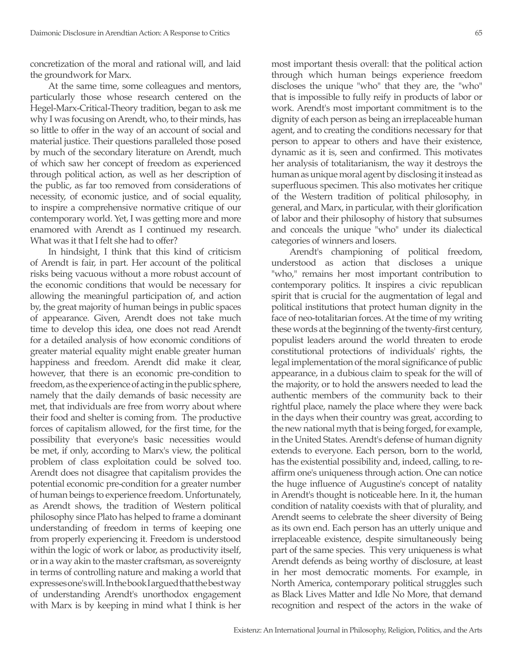concretization of the moral and rational will, and laid the groundwork for Marx.

At the same time, some colleagues and mentors, particularly those whose research centered on the Hegel-Marx-Critical-Theory tradition, began to ask me why I was focusing on Arendt, who, to their minds, has so little to offer in the way of an account of social and material justice. Their questions paralleled those posed by much of the secondary literature on Arendt, much of which saw her concept of freedom as experienced through political action, as well as her description of the public, as far too removed from considerations of necessity, of economic justice, and of social equality, to inspire a comprehensive normative critique of our contemporary world. Yet, I was getting more and more enamored with Arendt as I continued my research. What was it that I felt she had to offer?

In hindsight, I think that this kind of criticism of Arendt is fair, in part. Her account of the political risks being vacuous without a more robust account of the economic conditions that would be necessary for allowing the meaningful participation of, and action by, the great majority of human beings in public spaces of appearance. Given, Arendt does not take much time to develop this idea, one does not read Arendt for a detailed analysis of how economic conditions of greater material equality might enable greater human happiness and freedom. Arendt did make it clear, however, that there is an economic pre-condition to freedom, as the experience of acting in the public sphere, namely that the daily demands of basic necessity are met, that individuals are free from worry about where their food and shelter is coming from. The productive forces of capitalism allowed, for the first time, for the possibility that everyone's basic necessities would be met, if only, according to Marx's view, the political problem of class exploitation could be solved too. Arendt does not disagree that capitalism provides the potential economic pre-condition for a greater number of human beings to experience freedom. Unfortunately, as Arendt shows, the tradition of Western political philosophy since Plato has helped to frame a dominant understanding of freedom in terms of keeping one from properly experiencing it. Freedom is understood within the logic of work or labor, as productivity itself, or in a way akin to the master craftsman, as sovereignty in terms of controlling nature and making a world that expresses one's will. In the book I argued that the best way of understanding Arendt's unorthodox engagement with Marx is by keeping in mind what I think is her

most important thesis overall: that the political action through which human beings experience freedom discloses the unique "who" that they are, the "who" that is impossible to fully reify in products of labor or work. Arendt's most important commitment is to the dignity of each person as being an irreplaceable human agent, and to creating the conditions necessary for that person to appear to others and have their existence, dynamic as it is, seen and confirmed. This motivates her analysis of totalitarianism, the way it destroys the human as unique moral agent by disclosing it instead as superfluous specimen. This also motivates her critique of the Western tradition of political philosophy, in general, and Marx, in particular, with their glorification of labor and their philosophy of history that subsumes and conceals the unique "who" under its dialectical categories of winners and losers.

Arendt's championing of political freedom, understood as action that discloses a unique "who," remains her most important contribution to contemporary politics. It inspires a civic republican spirit that is crucial for the augmentation of legal and political institutions that protect human dignity in the face of neo-totalitarian forces. At the time of my writing these words at the beginning of the twenty-first century, populist leaders around the world threaten to erode constitutional protections of individuals' rights, the legal implementation of the moral significance of public appearance, in a dubious claim to speak for the will of the majority, or to hold the answers needed to lead the authentic members of the community back to their rightful place, namely the place where they were back in the days when their country was great, according to the new national myth that is being forged, for example, in the United States. Arendt's defense of human dignity extends to everyone. Each person, born to the world, has the existential possibility and, indeed, calling, to reaffirm one's uniqueness through action. One can notice the huge influence of Augustine's concept of natality in Arendt's thought is noticeable here. In it, the human condition of natality coexists with that of plurality, and Arendt seems to celebrate the sheer diversity of Being as its own end. Each person has an utterly unique and irreplaceable existence, despite simultaneously being part of the same species. This very uniqueness is what Arendt defends as being worthy of disclosure, at least in her most democratic moments. For example, in North America, contemporary political struggles such as Black Lives Matter and Idle No More, that demand recognition and respect of the actors in the wake of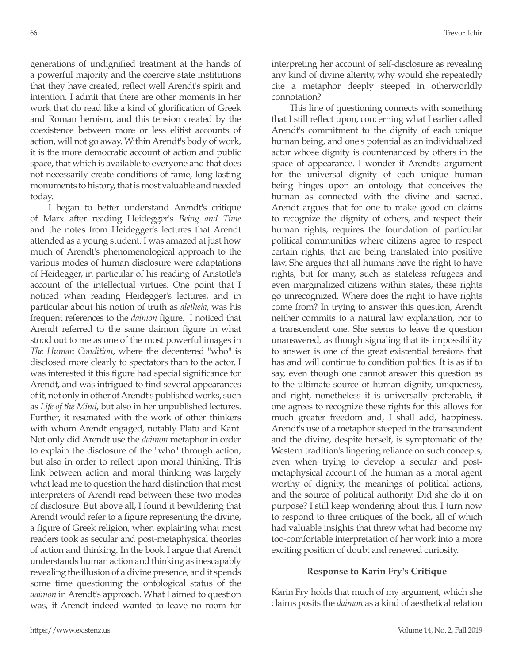generations of undignified treatment at the hands of a powerful majority and the coercive state institutions that they have created, reflect well Arendt's spirit and intention. I admit that there are other moments in her work that do read like a kind of glorification of Greek and Roman heroism, and this tension created by the coexistence between more or less elitist accounts of action, will not go away. Within Arendt's body of work, it is the more democratic account of action and public space, that which is available to everyone and that does not necessarily create conditions of fame, long lasting monuments to history, that is most valuable and needed today.

I began to better understand Arendt's critique of Marx after reading Heidegger's *Being and Time*  and the notes from Heidegger's lectures that Arendt attended as a young student. I was amazed at just how much of Arendt's phenomenological approach to the various modes of human disclosure were adaptations of Heidegger, in particular of his reading of Aristotle's account of the intellectual virtues. One point that I noticed when reading Heidegger's lectures, and in particular about his notion of truth as *aletheia*, was his frequent references to the *daimon* figure. I noticed that Arendt referred to the same daimon figure in what stood out to me as one of the most powerful images in *The Human Condition*, where the decentered "who" is disclosed more clearly to spectators than to the actor. I was interested if this figure had special significance for Arendt, and was intrigued to find several appearances of it, not only in other of Arendt's published works, such as *Life of the Mind*, but also in her unpublished lectures. Further, it resonated with the work of other thinkers with whom Arendt engaged, notably Plato and Kant. Not only did Arendt use the *daimon* metaphor in order to explain the disclosure of the "who" through action, but also in order to reflect upon moral thinking. This link between action and moral thinking was largely what lead me to question the hard distinction that most interpreters of Arendt read between these two modes of disclosure. But above all, I found it bewildering that Arendt would refer to a figure representing the divine, a figure of Greek religion, when explaining what most readers took as secular and post-metaphysical theories of action and thinking. In the book I argue that Arendt understands human action and thinking as inescapably revealing the illusion of a divine presence, and it spends some time questioning the ontological status of the *daimon* in Arendt's approach. What I aimed to question was, if Arendt indeed wanted to leave no room for interpreting her account of self-disclosure as revealing any kind of divine alterity, why would she repeatedly cite a metaphor deeply steeped in otherworldly connotation?

This line of questioning connects with something that I still reflect upon, concerning what I earlier called Arendt's commitment to the dignity of each unique human being, and one's potential as an individualized actor whose dignity is countenanced by others in the space of appearance. I wonder if Arendt's argument for the universal dignity of each unique human being hinges upon an ontology that conceives the human as connected with the divine and sacred. Arendt argues that for one to make good on claims to recognize the dignity of others, and respect their human rights, requires the foundation of particular political communities where citizens agree to respect certain rights, that are being translated into positive law. She argues that all humans have the right to have rights, but for many, such as stateless refugees and even marginalized citizens within states, these rights go unrecognized. Where does the right to have rights come from? In trying to answer this question, Arendt neither commits to a natural law explanation, nor to a transcendent one. She seems to leave the question unanswered, as though signaling that its impossibility to answer is one of the great existential tensions that has and will continue to condition politics. It is as if to say, even though one cannot answer this question as to the ultimate source of human dignity, uniqueness, and right, nonetheless it is universally preferable, if one agrees to recognize these rights for this allows for much greater freedom and, I shall add, happiness. Arendt's use of a metaphor steeped in the transcendent and the divine, despite herself, is symptomatic of the Western tradition's lingering reliance on such concepts, even when trying to develop a secular and postmetaphysical account of the human as a moral agent worthy of dignity, the meanings of political actions, and the source of political authority. Did she do it on purpose? I still keep wondering about this. I turn now to respond to three critiques of the book, all of which had valuable insights that threw what had become my too-comfortable interpretation of her work into a more exciting position of doubt and renewed curiosity.

## **Response to Karin Fry's Critique**

Karin Fry holds that much of my argument, which she claims posits the *daimon* as a kind of aesthetical relation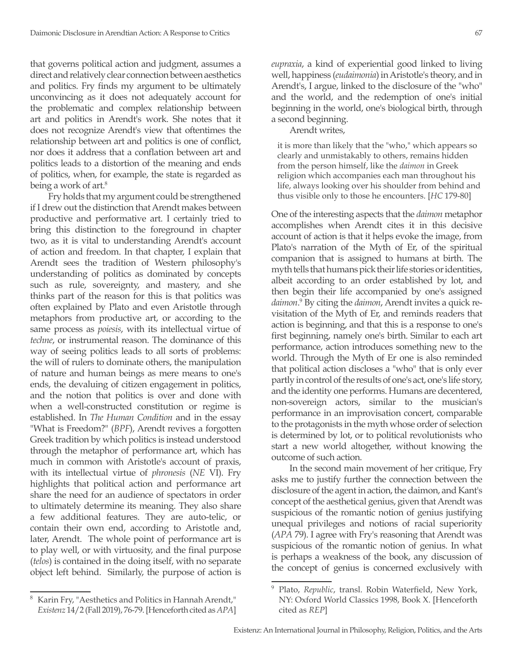that governs political action and judgment, assumes a direct and relatively clear connection between aesthetics and politics. Fry finds my argument to be ultimately unconvincing as it does not adequately account for the problematic and complex relationship between art and politics in Arendt's work. She notes that it does not recognize Arendt's view that oftentimes the relationship between art and politics is one of conflict, nor does it address that a conflation between art and politics leads to a distortion of the meaning and ends of politics, when, for example, the state is regarded as being a work of art.<sup>8</sup>

Fry holds that my argument could be strengthened if I drew out the distinction that Arendt makes between productive and performative art. I certainly tried to bring this distinction to the foreground in chapter two, as it is vital to understanding Arendt's account of action and freedom. In that chapter, I explain that Arendt sees the tradition of Western philosophy's understanding of politics as dominated by concepts such as rule, sovereignty, and mastery, and she thinks part of the reason for this is that politics was often explained by Plato and even Aristotle through metaphors from productive art, or according to the same process as *poiesis*, with its intellectual virtue of *techne*, or instrumental reason. The dominance of this way of seeing politics leads to all sorts of problems: the will of rulers to dominate others, the manipulation of nature and human beings as mere means to one's ends, the devaluing of citizen engagement in politics, and the notion that politics is over and done with when a well-constructed constitution or regime is established. In *The Human Condition* and in the essay "What is Freedom?" (*BPF*), Arendt revives a forgotten Greek tradition by which politics is instead understood through the metaphor of performance art, which has much in common with Aristotle's account of praxis, with its intellectual virtue of *phronesis* (*NE* VI). Fry highlights that political action and performance art share the need for an audience of spectators in order to ultimately determine its meaning. They also share a few additional features. They are auto-telic, or contain their own end, according to Aristotle and, later, Arendt. The whole point of performance art is to play well, or with virtuosity, and the final purpose (*telos*) is contained in the doing itself, with no separate object left behind. Similarly, the purpose of action is

*eupraxia*, a kind of experiential good linked to living well, happiness (*eudaimonia*) in Aristotle's theory, and in Arendt's, I argue, linked to the disclosure of the "who" and the world, and the redemption of one's initial beginning in the world, one's biological birth, through a second beginning.

Arendt writes,

it is more than likely that the "who," which appears so clearly and unmistakably to others, remains hidden from the person himself, like the *daimon* in Greek religion which accompanies each man throughout his life, always looking over his shoulder from behind and thus visible only to those he encounters. [*HC* 179-80]

One of the interesting aspects that the *daimon* metaphor accomplishes when Arendt cites it in this decisive account of action is that it helps evoke the image, from Plato's narration of the Myth of Er, of the spiritual companion that is assigned to humans at birth. The myth tells that humans pick their life stories or identities, albeit according to an order established by lot, and then begin their life accompanied by one's assigned *daimon*. 9 By citing the *daimon*, Arendt invites a quick revisitation of the Myth of Er, and reminds readers that action is beginning, and that this is a response to one's first beginning, namely one's birth. Similar to each art performance, action introduces something new to the world. Through the Myth of Er one is also reminded that political action discloses a "who" that is only ever partly in control of the results of one's act, one's life story, and the identity one performs. Humans are decentered, non-sovereign actors, similar to the musician's performance in an improvisation concert, comparable to the protagonists in the myth whose order of selection is determined by lot, or to political revolutionists who start a new world altogether, without knowing the outcome of such action.

In the second main movement of her critique, Fry asks me to justify further the connection between the disclosure of the agent in action, the daimon, and Kant's concept of the aesthetical genius, given that Arendt was suspicious of the romantic notion of genius justifying unequal privileges and notions of racial superiority (*APA* 79). I agree with Fry's reasoning that Arendt was suspicious of the romantic notion of genius. In what is perhaps a weakness of the book, any discussion of the concept of genius is concerned exclusively with

Karin Fry, "Aesthetics and Politics in Hannah Arendt," *Existenz* 14/2 (Fall 2019), 76-79. [Henceforth cited as *APA*]

<sup>9</sup> Plato, *Republic*, transl. Robin Waterfield, New York, NY: Oxford World Classics 1998, Book X. [Henceforth cited as *REP*]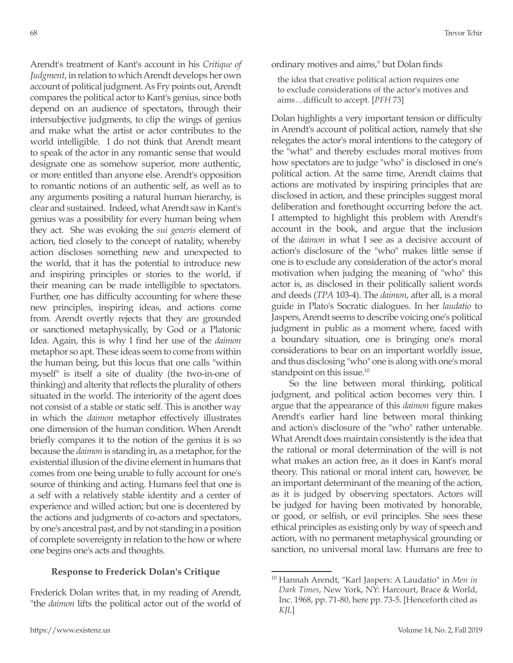Arendt's treatment of Kant's account in his *Critique of Judgment*, in relation to which Arendt develops her own account of political judgment. As Fry points out, Arendt compares the political actor to Kant's genius, since both depend on an audience of spectators, through their intersubjective judgments, to clip the wings of genius and make what the artist or actor contributes to the world intelligible. I do not think that Arendt meant to speak of the actor in any romantic sense that would designate one as somehow superior, more authentic, or more entitled than anyone else. Arendt's opposition to romantic notions of an authentic self, as well as to any arguments positing a natural human hierarchy, is clear and sustained. Indeed, what Arendt saw in Kant's genius was a possibility for every human being when they act. She was evoking the *sui generis* element of action, tied closely to the concept of natality, whereby action discloses something new and unexpected to the world, that it has the potential to introduce new and inspiring principles or stories to the world, if their meaning can be made intelligible to spectators. Further, one has difficulty accounting for where these new principles, inspiring ideas, and actions come from. Arendt overtly rejects that they are grounded or sanctioned metaphysically, by God or a Platonic Idea. Again, this is why I find her use of the *daimon*  metaphor so apt. These ideas seem to come from within the human being, but this locus that one calls "within myself" is itself a site of duality (the two-in-one of thinking) and alterity that reflects the plurality of others situated in the world. The interiority of the agent does not consist of a stable or static self. This is another way in which the *daimon* metaphor effectively illustrates one dimension of the human condition. When Arendt briefly compares it to the notion of the genius it is so because the *daimon* is standing in, as a metaphor, for the existential illusion of the divine element in humans that comes from one being unable to fully account for one's source of thinking and acting. Humans feel that one is a self with a relatively stable identity and a center of experience and willed action; but one is decentered by the actions and judgments of co-actors and spectators, by one's ancestral past, and by not standing in a position of complete sovereignty in relation to the how or where one begins one's acts and thoughts.

## **Response to Frederick Dolan's Critique**

Frederick Dolan writes that, in my reading of Arendt, "the *daimon* lifts the political actor out of the world of ordinary motives and aims," but Dolan finds

the idea that creative political action requires one to exclude considerations of the actor's motives and aims…difficult to accept. [*PFH* 73]

Dolan highlights a very important tension or difficulty in Arendt's account of political action, namely that she relegates the actor's moral intentions to the category of the "what" and thereby excludes moral motives from how spectators are to judge "who" is disclosed in one's political action. At the same time, Arendt claims that actions are motivated by inspiring principles that are disclosed in action, and these principles suggest moral deliberation and forethought occurring before the act. I attempted to highlight this problem with Arendt's account in the book, and argue that the inclusion of the *daimon* in what I see as a decisive account of action's disclosure of the "who" makes little sense if one is to exclude any consideration of the actor's moral motivation when judging the meaning of "who" this actor is, as disclosed in their politically salient words and deeds (*TPA* 103-4). The *daimon*, after all, is a moral guide in Plato's Socratic dialogues. In her *laudatio* to Jaspers, Arendt seems to describe voicing one's political judgment in public as a moment where, faced with a boundary situation, one is bringing one's moral considerations to bear on an important worldly issue, and thus disclosing "who" one is along with one's moral standpoint on this issue.<sup>10</sup>

So the line between moral thinking, political judgment, and political action becomes very thin. I argue that the appearance of this *daimon* figure makes Arendt's earlier hard line between moral thinking and action's disclosure of the "who" rather untenable. What Arendt does maintain consistently is the idea that the rational or moral determination of the will is not what makes an action free, as it does in Kant's moral theory. This rational or moral intent can, however, be an important determinant of the meaning of the action, as it is judged by observing spectators. Actors will be judged for having been motivated by honorable, or good, or selfish, or evil principles. She sees these ethical principles as existing only by way of speech and action, with no permanent metaphysical grounding or sanction, no universal moral law. Humans are free to

<sup>10</sup> Hannah Arendt, "Karl Jaspers: A Laudatio" in *Men in Dark Times*, New York, NY: Harcourt, Brace & World, Inc. 1968, pp. 71-80, here pp. 73-5. [Henceforth cited as *KJL*]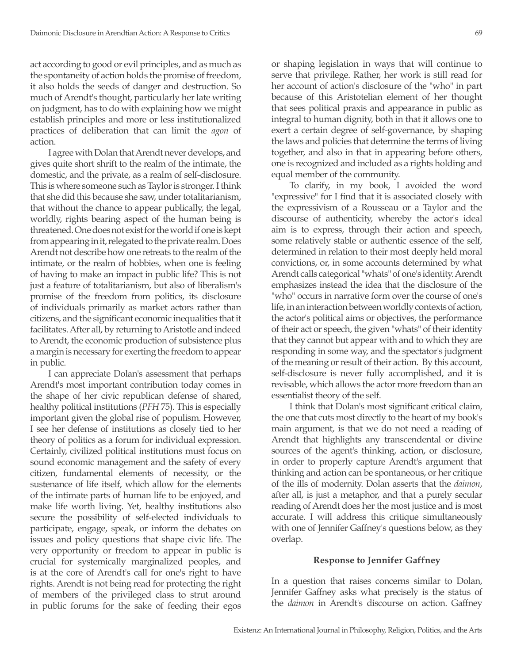act according to good or evil principles, and as much as the spontaneity of action holds the promise of freedom, it also holds the seeds of danger and destruction. So much of Arendt's thought, particularly her late writing on judgment, has to do with explaining how we might establish principles and more or less institutionalized practices of deliberation that can limit the *agon* of action.

I agree with Dolan that Arendt never develops, and gives quite short shrift to the realm of the intimate, the domestic, and the private, as a realm of self-disclosure. This is where someone such as Taylor is stronger. I think that she did this because she saw, under totalitarianism, that without the chance to appear publically, the legal, worldly, rights bearing aspect of the human being is threatened. One does not exist for the world if one is kept from appearing in it, relegated to the private realm. Does Arendt not describe how one retreats to the realm of the intimate, or the realm of hobbies, when one is feeling of having to make an impact in public life? This is not just a feature of totalitarianism, but also of liberalism's promise of the freedom from politics, its disclosure of individuals primarily as market actors rather than citizens, and the significant economic inequalities that it facilitates. After all, by returning to Aristotle and indeed to Arendt, the economic production of subsistence plus a margin is necessary for exerting the freedom to appear in public.

I can appreciate Dolan's assessment that perhaps Arendt's most important contribution today comes in the shape of her civic republican defense of shared, healthy political institutions (*PFH* 75). This is especially important given the global rise of populism. However, I see her defense of institutions as closely tied to her theory of politics as a forum for individual expression. Certainly, civilized political institutions must focus on sound economic management and the safety of every citizen, fundamental elements of necessity, or the sustenance of life itself, which allow for the elements of the intimate parts of human life to be enjoyed, and make life worth living. Yet, healthy institutions also secure the possibility of self-elected individuals to participate, engage, speak, or inform the debates on issues and policy questions that shape civic life. The very opportunity or freedom to appear in public is crucial for systemically marginalized peoples, and is at the core of Arendt's call for one's right to have rights. Arendt is not being read for protecting the right of members of the privileged class to strut around in public forums for the sake of feeding their egos or shaping legislation in ways that will continue to serve that privilege. Rather, her work is still read for her account of action's disclosure of the "who" in part because of this Aristotelian element of her thought that sees political praxis and appearance in public as integral to human dignity, both in that it allows one to exert a certain degree of self-governance, by shaping the laws and policies that determine the terms of living together, and also in that in appearing before others, one is recognized and included as a rights holding and equal member of the community.

To clarify, in my book, I avoided the word "expressive" for I find that it is associated closely with the expressivism of a Rousseau or a Taylor and the discourse of authenticity, whereby the actor's ideal aim is to express, through their action and speech, some relatively stable or authentic essence of the self, determined in relation to their most deeply held moral convictions, or, in some accounts determined by what Arendt calls categorical "whats" of one's identity. Arendt emphasizes instead the idea that the disclosure of the "who" occurs in narrative form over the course of one's life, in an interaction between worldly contexts of action, the actor's political aims or objectives, the performance of their act or speech, the given "whats" of their identity that they cannot but appear with and to which they are responding in some way, and the spectator's judgment of the meaning or result of their action. By this account, self-disclosure is never fully accomplished, and it is revisable, which allows the actor more freedom than an essentialist theory of the self.

I think that Dolan's most significant critical claim, the one that cuts most directly to the heart of my book's main argument, is that we do not need a reading of Arendt that highlights any transcendental or divine sources of the agent's thinking, action, or disclosure, in order to properly capture Arendt's argument that thinking and action can be spontaneous, or her critique of the ills of modernity. Dolan asserts that the *daimon*, after all, is just a metaphor, and that a purely secular reading of Arendt does her the most justice and is most accurate. I will address this critique simultaneously with one of Jennifer Gaffney's questions below, as they overlap.

## **Response to Jennifer Gaffney**

In a question that raises concerns similar to Dolan, Jennifer Gaffney asks what precisely is the status of the *daimon* in Arendt's discourse on action. Gaffney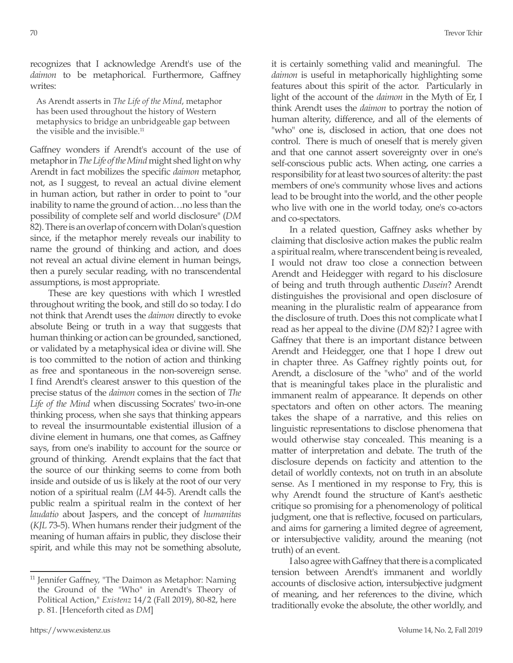recognizes that I acknowledge Arendt's use of the *daimon* to be metaphorical. Furthermore, Gaffney writes:

As Arendt asserts in *The Life of the Mind*, metaphor has been used throughout the history of Western metaphysics to bridge an unbridgeable gap between the visible and the invisible.<sup>11</sup>

Gaffney wonders if Arendt's account of the use of metaphor in *The Life of the Mind* might shed light on why Arendt in fact mobilizes the specific *daimon* metaphor, not, as I suggest, to reveal an actual divine element in human action, but rather in order to point to "our inability to name the ground of action…no less than the possibility of complete self and world disclosure" (*DM* 82). There is an overlap of concern with Dolan's question since, if the metaphor merely reveals our inability to name the ground of thinking and action, and does not reveal an actual divine element in human beings, then a purely secular reading, with no transcendental assumptions, is most appropriate.

These are key questions with which I wrestled throughout writing the book, and still do so today. I do not think that Arendt uses the *daimon* directly to evoke absolute Being or truth in a way that suggests that human thinking or action can be grounded, sanctioned, or validated by a metaphysical idea or divine will. She is too committed to the notion of action and thinking as free and spontaneous in the non-sovereign sense. I find Arendt's clearest answer to this question of the precise status of the *daimon* comes in the section of *The Life of the Mind* when discussing Socrates' two-in-one thinking process, when she says that thinking appears to reveal the insurmountable existential illusion of a divine element in humans, one that comes, as Gaffney says, from one's inability to account for the source or ground of thinking. Arendt explains that the fact that the source of our thinking seems to come from both inside and outside of us is likely at the root of our very notion of a spiritual realm (*LM* 44-5). Arendt calls the public realm a spiritual realm in the context of her *laudatio* about Jaspers, and the concept of *humanitas*  (*KJL* 73-5). When humans render their judgment of the meaning of human affairs in public, they disclose their spirit, and while this may not be something absolute,

<sup>11</sup> Jennifer Gaffney, "The Daimon as Metaphor: Naming the Ground of the "Who" in Arendt's Theory of Political Action," *Existenz* 14/2 (Fall 2019), 80-82, here p. 81. [Henceforth cited as *DM*]

it is certainly something valid and meaningful. The *daimon* is useful in metaphorically highlighting some features about this spirit of the actor. Particularly in light of the account of the *daimon* in the Myth of Er, I think Arendt uses the *daimon* to portray the notion of human alterity, difference, and all of the elements of "who" one is, disclosed in action, that one does not control. There is much of oneself that is merely given and that one cannot assert sovereignty over in one's self-conscious public acts. When acting, one carries a responsibility for at least two sources of alterity: the past members of one's community whose lives and actions lead to be brought into the world, and the other people who live with one in the world today, one's co-actors and co-spectators.

In a related question, Gaffney asks whether by claiming that disclosive action makes the public realm a spiritual realm, where transcendent being is revealed, I would not draw too close a connection between Arendt and Heidegger with regard to his disclosure of being and truth through authentic *Dasein*? Arendt distinguishes the provisional and open disclosure of meaning in the pluralistic realm of appearance from the disclosure of truth. Does this not complicate what I read as her appeal to the divine (*DM* 82)? I agree with Gaffney that there is an important distance between Arendt and Heidegger, one that I hope I drew out in chapter three. As Gaffney rightly points out, for Arendt, a disclosure of the "who" and of the world that is meaningful takes place in the pluralistic and immanent realm of appearance. It depends on other spectators and often on other actors. The meaning takes the shape of a narrative, and this relies on linguistic representations to disclose phenomena that would otherwise stay concealed. This meaning is a matter of interpretation and debate. The truth of the disclosure depends on facticity and attention to the detail of worldly contexts, not on truth in an absolute sense. As I mentioned in my response to Fry, this is why Arendt found the structure of Kant's aesthetic critique so promising for a phenomenology of political judgment, one that is reflective, focused on particulars, and aims for garnering a limited degree of agreement, or intersubjective validity, around the meaning (not truth) of an event.

I also agree with Gaffney that there is a complicated tension between Arendt's immanent and worldly accounts of disclosive action, intersubjective judgment of meaning, and her references to the divine, which traditionally evoke the absolute, the other worldly, and